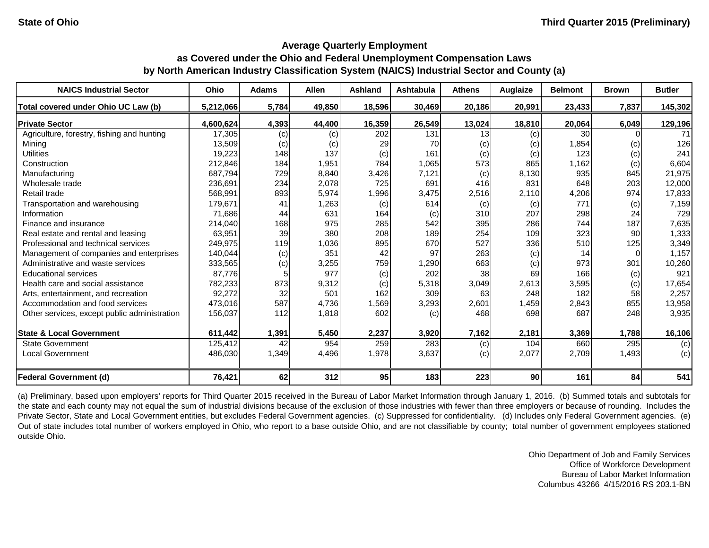#### **Average Quarterly Employment**

# **as Covered under the Ohio and Federal Unemployment Compensation Laws by North American Industry Classification System (NAICS) Industrial Sector and County (a)**

| <b>NAICS Industrial Sector</b>               | <b>Ohio</b> | <b>Adams</b> | <b>Allen</b> | <b>Ashland</b> | <b>Ashtabula</b> | <b>Athens</b> | Auglaize        | <b>Belmont</b>  | <b>Brown</b> | <b>Butler</b> |
|----------------------------------------------|-------------|--------------|--------------|----------------|------------------|---------------|-----------------|-----------------|--------------|---------------|
| Total covered under Ohio UC Law (b)          | 5,212,066   | 5,784        | 49,850       | 18,596         | 30,469           | 20,186        | 20,991          | 23,433          | 7,837        | 145,302       |
| <b>Private Sector</b>                        | 4,600,624   | 4,393        | 44,400       | 16,359         | 26,549           | 13,024        | 18,810          | 20,064          | 6,049        | 129,196       |
| Agriculture, forestry, fishing and hunting   | 17,305      | (c)          | (c)          | 202            | 131              | 13            | (c)             | 30 <sup>°</sup> |              | 71            |
| Mining                                       | 13,509      | (c)          | (c)          | 29             | 70               | (c)           | (c)             | 1,854           | (c)          | 126           |
| <b>Utilities</b>                             | 19,223      | 148          | 137          | (c)            | 161              | (c)           | (c)             | 123             | (c)          | 241           |
| Construction                                 | 212,846     | 184          | 1,951        | 784            | 1,065            | 573           | 865             | 1,162           | (c)          | 6,604         |
| Manufacturing                                | 687,794     | 729          | 8,840        | 3,426          | 7,121            | (c)           | 8,130           | 935             | 845          | 21,975        |
| Wholesale trade                              | 236,691     | 234          | 2,078        | 725            | 691              | 416           | 831             | 648             | 203          | 12,000        |
| Retail trade                                 | 568,991     | 893          | 5,974        | 1,996          | 3,475            | 2,516         | 2,110           | 4,206           | 974          | 17,833        |
| Transportation and warehousing               | 179,671     | 41           | 1,263        | (c)            | 614              | (c)           | (c)             | 771             | (c)          | 7,159         |
| Information                                  | 71,686      | 44           | 631          | 164            | (c)              | 310           | 207             | 298             | 24           | 729           |
| Finance and insurance                        | 214,040     | 168          | 975          | 285            | 542              | 395           | 286             | 744             | 187          | 7,635         |
| Real estate and rental and leasing           | 63,951      | 39           | 380          | 208            | 189              | 254           | 109             | 323             | 90           | 1,333         |
| Professional and technical services          | 249,975     | 119          | 1,036        | 895            | 670              | 527           | 336             | 510             | 125          | 3,349         |
| Management of companies and enterprises      | 140,044     | (c)          | 351          | 42             | 97               | 263           | (c)             | 14              |              | 1,157         |
| Administrative and waste services            | 333,565     | (c)          | 3,255        | 759            | 1,290            | 663           | (c)             | 973             | 301          | 10,260        |
| <b>Educational services</b>                  | 87,776      |              | 977          | (c)            | 202              | 38            | 69              | 166             | (c)          | 921           |
| Health care and social assistance            | 782,233     | 873          | 9,312        | (c)            | 5,318            | 3,049         | 2,613           | 3,595           | (c)          | 17,654        |
| Arts, entertainment, and recreation          | 92,272      | 32           | 501          | 162            | 309              | 63            | 248             | 182             | 58           | 2,257         |
| Accommodation and food services              | 473,016     | 587          | 4,736        | 1,569          | 3,293            | 2,601         | 1,459           | 2,843           | 855          | 13,958        |
| Other services, except public administration | 156,037     | 112          | 1,818        | 602            | (c)              | 468           | 698             | 687             | 248          | 3,935         |
| <b>State &amp; Local Government</b>          | 611,442     | 1,391        | 5,450        | 2,237          | 3,920            | 7,162         | 2,181           | 3,369           | 1,788        | 16,106        |
| <b>State Government</b>                      | 125,412     | 42           | 954          | 259            | 283              | (c)           | 104             | 660             | 295          | (c)           |
| <b>Local Government</b>                      | 486,030     | 1,349        | 4,496        | 1,978          | 3,637            | (c)           | 2,077           | 2,709           | 1,493        | (c)           |
| <b>Federal Government (d)</b>                | 76,421      | 62           | 312          | 95             | 183              | 223           | 90 <sub>0</sub> | 161             | 84           | 541           |

(a) Preliminary, based upon employers' reports for Third Quarter 2015 received in the Bureau of Labor Market Information through January 1, 2016. (b) Summed totals and subtotals for the state and each county may not equal the sum of industrial divisions because of the exclusion of those industries with fewer than three employers or because of rounding. Includes the Private Sector, State and Local Government entities, but excludes Federal Government agencies. (c) Suppressed for confidentiality. (d) Includes only Federal Government agencies. (e) Out of state includes total number of workers employed in Ohio, who report to a base outside Ohio, and are not classifiable by county; total number of government employees stationed outside Ohio.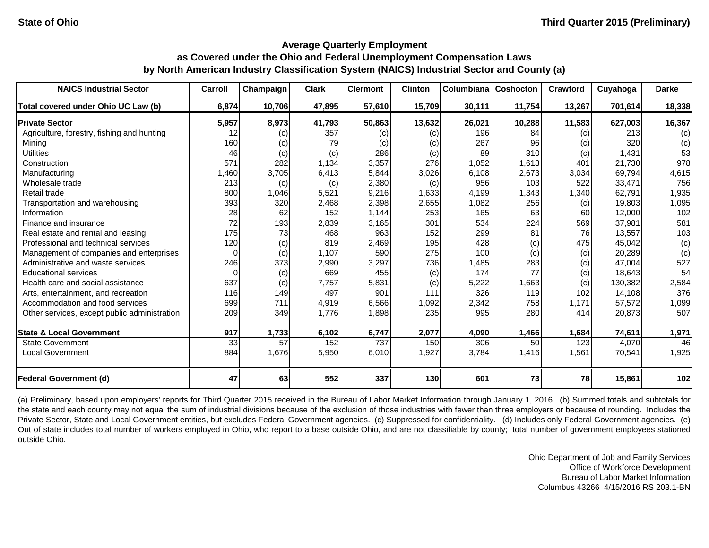| <b>NAICS Industrial Sector</b>               | Carroll | Champaign | <b>Clark</b> | <b>Clermont</b> | <b>Clinton</b> | Columbiana | <b>Coshocton</b> | Crawford | Cuyahoga | <b>Darke</b> |
|----------------------------------------------|---------|-----------|--------------|-----------------|----------------|------------|------------------|----------|----------|--------------|
| Total covered under Ohio UC Law (b)          | 6,874   | 10,706    | 47,895       | 57,610          | 15,709         | 30,111     | 11,754           | 13,267   | 701,614  | 18,338       |
| <b>Private Sector</b>                        | 5,957   | 8,973     | 41,793       | 50,863          | 13,632         | 26,021     | 10,288           | 11,583   | 627,003  | 16,367       |
| Agriculture, forestry, fishing and hunting   | 12      | (c)       | 357          | (c)             | (c)            | 196        | 84               | (c)      | 213      | (c)          |
| Mining                                       | 160     | (c)       | 79           | (c)             | (c)            | 267        | 96               | (c)      | 320      | (c)          |
| <b>Utilities</b>                             | 46      | (c)       | (c)          | 286             | (c)            | 89         | 310              | (c)      | 1,431    | 53           |
| Construction                                 | 571     | 282       | 1,134        | 3,357           | 276            | 1,052      | 1,613            | 401      | 21,730   | 978          |
| Manufacturing                                | 1,460   | 3,705     | 6,413        | 5,844           | 3,026          | 6,108      | 2,673            | 3,034    | 69,794   | 4,615        |
| Wholesale trade                              | 213     | (c)       | (c)          | 2,380           | (c)            | 956        | 103              | 522      | 33,471   | 756          |
| Retail trade                                 | 800     | 1,046     | 5,521        | 9,216           | 1,633          | 4,199      | 1,343            | 1,340    | 62,791   | 1,935        |
| Transportation and warehousing               | 393     | 320       | 2,468        | 2,398           | 2,655          | 1,082      | 256              | (c)      | 19,803   | 1,095        |
| Information                                  | 28      | 62        | 152          | 1,144           | 253            | 165        | 63               | 60       | 12,000   | 102          |
| Finance and insurance                        | 72      | 193       | 2,839        | 3,165           | 301            | 534        | 224              | 569      | 37,981   | 581          |
| Real estate and rental and leasing           | 175     | 73        | 468          | 963             | 152            | 299        | 81               | 76       | 13,557   | 103          |
| Professional and technical services          | 120     | (c)       | 819          | 2,469           | 195            | 428        | (c)              | 475      | 45,042   | (c)          |
| Management of companies and enterprises      | ∩       | (c)       | 1,107        | 590             | 275            | 100        | (c)              | (c)      | 20,289   | (c)          |
| Administrative and waste services            | 246     | 373       | 2,990        | 3,297           | 736            | 1,485      | 283              | (c)      | 47,004   | 527          |
| <b>Educational services</b>                  |         | (c)       | 669          | 455             | (c)            | 174        | 77               | (c)      | 18,643   | 54           |
| Health care and social assistance            | 637     | (c)       | 7,757        | 5,831           | (c)            | 5,222      | 1,663            | (c)      | 130,382  | 2,584        |
| Arts, entertainment, and recreation          | 116     | 149       | 497          | 901             | 111            | 326        | 119              | 102      | 14,108   | 376          |
| Accommodation and food services              | 699     | 711       | 4,919        | 6,566           | 1,092          | 2,342      | 758              | 1,171    | 57,572   | 1,099        |
| Other services, except public administration | 209     | 349       | 1,776        | 1,898           | 235            | 995        | 280              | 414      | 20,873   | 507          |
| <b>State &amp; Local Government</b>          | 917     | 1,733     | 6,102        | 6,747           | 2,077          | 4,090      | 1,466            | 1,684    | 74,611   | 1,971        |
| <b>State Government</b>                      | 33      | 57        | 152          | 737             | 150            | 306        | 50               | 123      | 4,070    | 46           |
| <b>Local Government</b>                      | 884     | 1,676     | 5,950        | 6,010           | 1,927          | 3,784      | 1,416            | 1,561    | 70,541   | 1,925        |
| <b>Federal Government (d)</b>                | 47      | 63        | 552          | 337             | 130            | 601        | 73               | 78       | 15,861   | 102          |

(a) Preliminary, based upon employers' reports for Third Quarter 2015 received in the Bureau of Labor Market Information through January 1, 2016. (b) Summed totals and subtotals for the state and each county may not equal the sum of industrial divisions because of the exclusion of those industries with fewer than three employers or because of rounding. Includes the Private Sector, State and Local Government entities, but excludes Federal Government agencies. (c) Suppressed for confidentiality. (d) Includes only Federal Government agencies. (e) Out of state includes total number of workers employed in Ohio, who report to a base outside Ohio, and are not classifiable by county; total number of government employees stationed outside Ohio.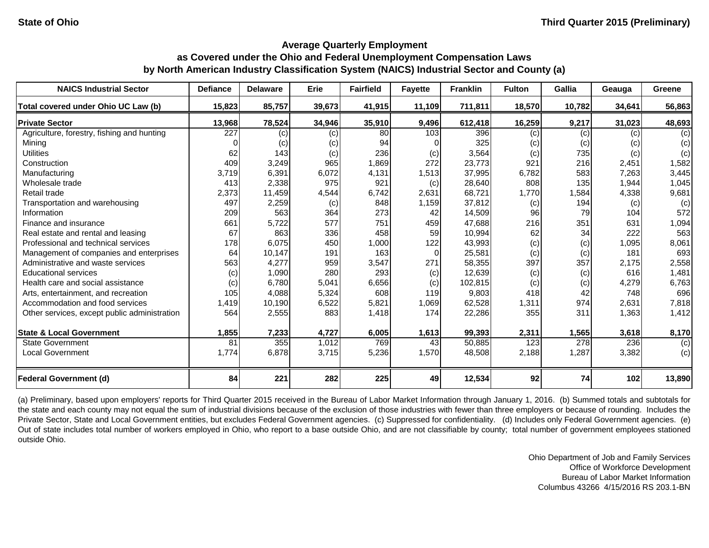| <b>NAICS Industrial Sector</b>               | <b>Defiance</b> | <b>Delaware</b> | Erie   | <b>Fairfield</b> | <b>Fayette</b> | <b>Franklin</b> | <b>Fulton</b> | Gallia | Geauga | Greene |
|----------------------------------------------|-----------------|-----------------|--------|------------------|----------------|-----------------|---------------|--------|--------|--------|
| Total covered under Ohio UC Law (b)          | 15,823          | 85,757          | 39,673 | 41,915           | 11,109         | 711,811         | 18,570        | 10,782 | 34,641 | 56,863 |
| <b>Private Sector</b>                        | 13,968          | 78,524          | 34,946 | 35,910           | 9,496          | 612,418         | 16,259        | 9,217  | 31,023 | 48,693 |
| Agriculture, forestry, fishing and hunting   | 227             | (c)             | (c)    | 80               | 103            | 396             | (c)           | (c)    | (c)    | (c)    |
| Mining                                       |                 | (c)             | (c)    | 94               |                | 325             | (c)           | (c)    | (c)    | (c)    |
| <b>Utilities</b>                             | 62              | 143             | (c)    | 236              | (c)            | 3,564           | (c)           | 735    | (c)    | (c)    |
| Construction                                 | 409             | 3,249           | 965    | 1,869            | 272            | 23,773          | 921           | 216    | 2,451  | 1,582  |
| Manufacturing                                | 3,719           | 6,391           | 6,072  | 4,131            | 1,513          | 37,995          | 6,782         | 583    | 7,263  | 3,445  |
| Wholesale trade                              | 413             | 2,338           | 975    | 921              | (c)            | 28,640          | 808           | 135    | 1,944  | 1,045  |
| Retail trade                                 | 2,373           | 11,459          | 4,544  | 6,742            | 2,631          | 68,721          | 1,770         | 1,584  | 4,338  | 9,681  |
| Transportation and warehousing               | 497             | 2,259           | (c)    | 848              | 1,159          | 37,812          | (c)           | 194    | (c)    | (c)    |
| Information                                  | 209             | 563             | 364    | 273              | 42             | 14,509          | 96            | 79     | 104    | 572    |
| Finance and insurance                        | 661             | 5,722           | 577    | 751              | 459            | 47,688          | 216           | 351    | 631    | 1,094  |
| Real estate and rental and leasing           | 67              | 863             | 336    | 458              | 59             | 10,994          | 62            | 34     | 222    | 563    |
| Professional and technical services          | 178             | 6,075           | 450    | 1,000            | 122            | 43,993          | (c)           | (c)    | 1,095  | 8,061  |
| Management of companies and enterprises      | 64              | 10,147          | 191    | 163              | $\Omega$       | 25,581          | (c)           | (c)    | 181    | 693    |
| Administrative and waste services            | 563             | 4,277           | 959    | 3,547            | 271            | 58,355          | 397           | 357    | 2,175  | 2,558  |
| <b>Educational services</b>                  | (c)             | 1,090           | 280    | 293              | (c)            | 12,639          | (c)           | (c)    | 616    | 1,481  |
| Health care and social assistance            | (c)             | 6,780           | 5,041  | 6,656            | (c)            | 102,815         | (c)           | (c)    | 4,279  | 6,763  |
| Arts, entertainment, and recreation          | 105             | 4,088           | 5,324  | 608              | 119            | 9,803           | 418           | 42     | 748    | 696    |
| Accommodation and food services              | 1,419           | 10,190          | 6,522  | 5,821            | 1,069          | 62,528          | 1,311         | 974    | 2,631  | 7,818  |
| Other services, except public administration | 564             | 2,555           | 883    | 1,418            | 174            | 22,286          | 355           | 311    | 1,363  | 1,412  |
| <b>State &amp; Local Government</b>          | 1,855           | 7,233           | 4,727  | 6,005            | 1,613          | 99,393          | 2,311         | 1,565  | 3,618  | 8,170  |
| <b>State Government</b>                      | 81              | 355             | 1,012  | 769              | 43             | 50,885          | 123           | 278    | 236    | (c)    |
| <b>Local Government</b>                      | 1,774           | 6,878           | 3,715  | 5,236            | 1,570          | 48,508          | 2,188         | 1,287  | 3,382  | (c)    |
| <b>Federal Government (d)</b>                | 84              | 221             | 282    | 225              | 49             | 12,534          | 92            | 74     | 102    | 13,890 |

(a) Preliminary, based upon employers' reports for Third Quarter 2015 received in the Bureau of Labor Market Information through January 1, 2016. (b) Summed totals and subtotals for the state and each county may not equal the sum of industrial divisions because of the exclusion of those industries with fewer than three employers or because of rounding. Includes the Private Sector, State and Local Government entities, but excludes Federal Government agencies. (c) Suppressed for confidentiality. (d) Includes only Federal Government agencies. (e) Out of state includes total number of workers employed in Ohio, who report to a base outside Ohio, and are not classifiable by county; total number of government employees stationed outside Ohio.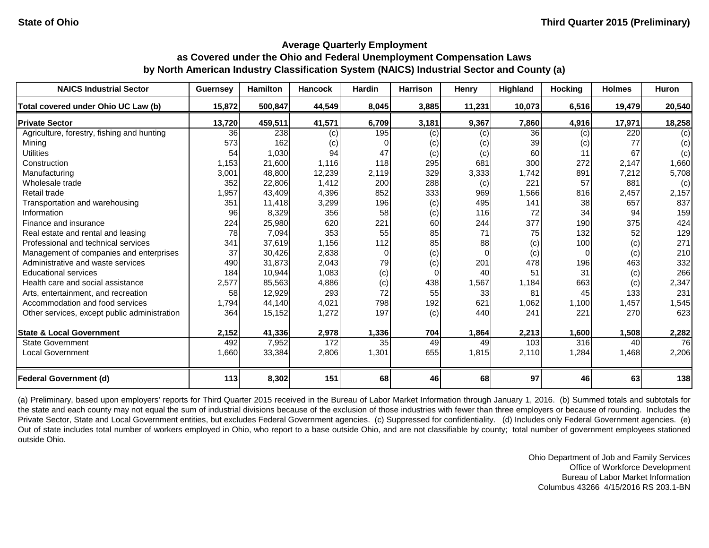| <b>NAICS Industrial Sector</b>               | <b>Guernsey</b> | <b>Hamilton</b> | <b>Hancock</b> | <b>Hardin</b> | <b>Harrison</b> | <b>Henry</b> | Highland | <b>Hocking</b>   | <b>Holmes</b> | Huron  |
|----------------------------------------------|-----------------|-----------------|----------------|---------------|-----------------|--------------|----------|------------------|---------------|--------|
| Total covered under Ohio UC Law (b)          | 15,872          | 500,847         | 44,549         | 8,045         | 3,885           | 11,231       | 10,073   | 6,516            | 19,479        | 20,540 |
| <b>Private Sector</b>                        | 13,720          | 459,511         | 41,571         | 6,709         | 3,181           | 9,367        | 7,860    | 4,916            | 17,971        | 18,258 |
| Agriculture, forestry, fishing and hunting   | 36              | 238             | (c)            | 195           | (c)             | (c)          | 36       | (c)              | 220           | (c)    |
| Mining                                       | 573             | 162             | (c)            | 0             | (c)             | (c)          | 39       | (c)              | 77            | (c)    |
| <b>Utilities</b>                             | 54              | 1,030           | 94             | 47            | (c)             | (c)          | 60       | 11               | 67            | (c)    |
| Construction                                 | 1,153           | 21,600          | 1,116          | 118           | 295             | 681          | 300      | 272              | 2,147         | 1,660  |
| Manufacturing                                | 3,001           | 48,800          | 12,239         | 2,119         | 329             | 3,333        | 1,742    | 891              | 7,212         | 5,708  |
| Wholesale trade                              | 352             | 22,806          | 1,412          | 200           | 288             | (c)          | 221      | 57               | 881           | (c)    |
| Retail trade                                 | 1,957           | 43,409          | 4,396          | 852           | 333             | 969          | 1,566    | 816              | 2,457         | 2,157  |
| Transportation and warehousing               | 351             | 11,418          | 3,299          | 196           | (c)             | 495          | 141      | 38               | 657           | 837    |
| Information                                  | 96              | 8,329           | 356            | 58            | (c)             | 116          | 72       | 34               | 94            | 159    |
| Finance and insurance                        | 224             | 25,980          | 620            | 221           | 60              | 244          | 377      | 190 <sup>°</sup> | 375           | 424    |
| Real estate and rental and leasing           | 78              | 7,094           | 353            | 55            | 85              | 71           | 75       | 132              | 52            | 129    |
| Professional and technical services          | 341             | 37,619          | 1,156          | 112           | 85              | 88           | (c)      | 100              | (c)           | 271    |
| Management of companies and enterprises      | 37              | 30,426          | 2,838          | $\Omega$      | (c)             | $\Omega$     | (c)      | $\Omega$         | (c)           | 210    |
| Administrative and waste services            | 490             | 31,873          | 2,043          | 79            | (c)             | 201          | 478      | 196              | 463           | 332    |
| <b>Educational services</b>                  | 184             | 10,944          | 1,083          | (c)           | $\Omega$        | 40           | 51       | 31               | (c)           | 266    |
| Health care and social assistance            | 2,577           | 85,563          | 4,886          | (c)           | 438             | 1,567        | 1,184    | 663              | (c)           | 2,347  |
| Arts, entertainment, and recreation          | 58              | 12,929          | 293            | 72            | 55              | 33           | 81       | 45               | 133           | 231    |
| Accommodation and food services              | 1,794           | 44,140          | 4,021          | 798           | 192             | 621          | 1,062    | 1,100            | 1,457         | 1,545  |
| Other services, except public administration | 364             | 15,152          | 1,272          | 197           | (c)             | 440          | 241      | 221              | 270           | 623    |
| <b>State &amp; Local Government</b>          | 2,152           | 41,336          | 2,978          | 1,336         | 704             | 1,864        | 2,213    | 1,600            | 1,508         | 2,282  |
| <b>State Government</b>                      | 492             | 7,952           | 172            | 35            | 49              | 49           | 103      | 316              | 40            | 76     |
| <b>Local Government</b>                      | 1,660           | 33,384          | 2,806          | 1,301         | 655             | 1,815        | 2,110    | 1,284            | 1,468         | 2,206  |
| <b>Federal Government (d)</b>                | 113             | 8,302           | 151            | 68            | 46              | 68           | 97       | 46               | 63            | 138    |

(a) Preliminary, based upon employers' reports for Third Quarter 2015 received in the Bureau of Labor Market Information through January 1, 2016. (b) Summed totals and subtotals for the state and each county may not equal the sum of industrial divisions because of the exclusion of those industries with fewer than three employers or because of rounding. Includes the Private Sector, State and Local Government entities, but excludes Federal Government agencies. (c) Suppressed for confidentiality. (d) Includes only Federal Government agencies. (e) Out of state includes total number of workers employed in Ohio, who report to a base outside Ohio, and are not classifiable by county; total number of government employees stationed outside Ohio.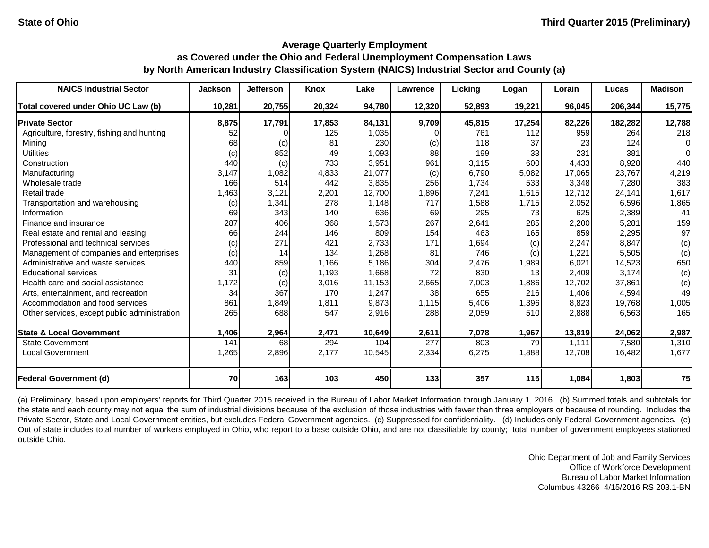| <b>NAICS Industrial Sector</b>               | <b>Jackson</b> | <b>Jefferson</b> | Knox   | Lake   | Lawrence | Licking | Logan  | Lorain | Lucas   | <b>Madison</b> |
|----------------------------------------------|----------------|------------------|--------|--------|----------|---------|--------|--------|---------|----------------|
| Total covered under Ohio UC Law (b)          | 10,281         | 20,755           | 20,324 | 94,780 | 12,320   | 52,893  | 19,221 | 96,045 | 206,344 | 15,775         |
| <b>Private Sector</b>                        | 8,875          | 17,791           | 17,853 | 84,131 | 9,709    | 45,815  | 17,254 | 82,226 | 182,282 | 12,788         |
| Agriculture, forestry, fishing and hunting   | 52             |                  | 125    | 1,035  |          | 761     | 112    | 959    | 264     | 218            |
| Mining                                       | 68             | (c)              | 81     | 230    | (c)      | 118     | 37     | 23     | 124     | $\Omega$       |
| <b>Utilities</b>                             | (c)            | 852              | 49     | 1,093  | 88       | 199     | 33     | 231    | 381     | $\Omega$       |
| Construction                                 | 440            | (c)              | 733    | 3,951  | 961      | 3,115   | 600    | 4,433  | 8,928   | 440            |
| Manufacturing                                | 3,147          | 1,082            | 4,833  | 21,077 | (c)      | 6,790   | 5,082  | 17,065 | 23,767  | 4,219          |
| Wholesale trade                              | 166            | 514              | 442    | 3,835  | 256      | 1,734   | 533    | 3,348  | 7,280   | 383            |
| Retail trade                                 | 1,463          | 3,121            | 2,201  | 12,700 | 1,896    | 7,241   | 1,615  | 12,712 | 24,141  | 1,617          |
| Transportation and warehousing               | (c)            | 1,341            | 278    | 1,148  | 717      | 1,588   | 1,715  | 2,052  | 6,596   | 1,865          |
| Information                                  | 69             | 343              | 140    | 636    | 69       | 295     | 73     | 625    | 2,389   | 41             |
| Finance and insurance                        | 287            | 406              | 368    | 1,573  | 267      | 2,641   | 285    | 2,200  | 5,281   | 159            |
| Real estate and rental and leasing           | 66             | 244              | 146    | 809    | 154      | 463     | 165    | 859    | 2,295   | 97             |
| Professional and technical services          | (c)            | 271              | 421    | 2,733  | 171      | 1,694   | (c)    | 2,247  | 8,847   | (c)            |
| Management of companies and enterprises      | (c)            | 14               | 134    | 1,268  | 81       | 746     | (c)    | 1,221  | 5,505   | (c)            |
| Administrative and waste services            | 440            | 859              | 1,166  | 5,186  | 304      | 2,476   | 1,989  | 6,021  | 14,523  | 650            |
| <b>Educational services</b>                  | 31             | (c)              | 1,193  | 1,668  | 72       | 830     | 13     | 2,409  | 3,174   | (c)            |
| Health care and social assistance            | 1,172          | $\left( $        | 3,016  | 11,153 | 2,665    | 7,003   | 1,886  | 12,702 | 37,861  | (c)            |
| Arts, entertainment, and recreation          | 34             | 367              | 170    | 1,247  | 38       | 655     | 216    | 1,406  | 4,594   | 49             |
| Accommodation and food services              | 861            | 1,849            | 1,811  | 9,873  | 1,115    | 5,406   | 1,396  | 8,823  | 19,768  | 1,005          |
| Other services, except public administration | 265            | 688              | 547    | 2,916  | 288      | 2,059   | 510    | 2,888  | 6,563   | 165            |
| <b>State &amp; Local Government</b>          | 1,406          | 2,964            | 2,471  | 10,649 | 2,611    | 7,078   | 1,967  | 13,819 | 24,062  | 2,987          |
| <b>State Government</b>                      | 141            | 68               | 294    | 104    | 277      | 803     | 79     | 1,111  | 7,580   | 1,310          |
| <b>Local Government</b>                      | 1,265          | 2,896            | 2,177  | 10,545 | 2,334    | 6,275   | 1,888  | 12,708 | 16,482  | 1,677          |
| <b>Federal Government (d)</b>                | 70             | 163              | 103    | 450    | 133      | 357     | 115    | 1,084  | 1,803   | 75             |

(a) Preliminary, based upon employers' reports for Third Quarter 2015 received in the Bureau of Labor Market Information through January 1, 2016. (b) Summed totals and subtotals for the state and each county may not equal the sum of industrial divisions because of the exclusion of those industries with fewer than three employers or because of rounding. Includes the Private Sector, State and Local Government entities, but excludes Federal Government agencies. (c) Suppressed for confidentiality. (d) Includes only Federal Government agencies. (e) Out of state includes total number of workers employed in Ohio, who report to a base outside Ohio, and are not classifiable by county; total number of government employees stationed outside Ohio.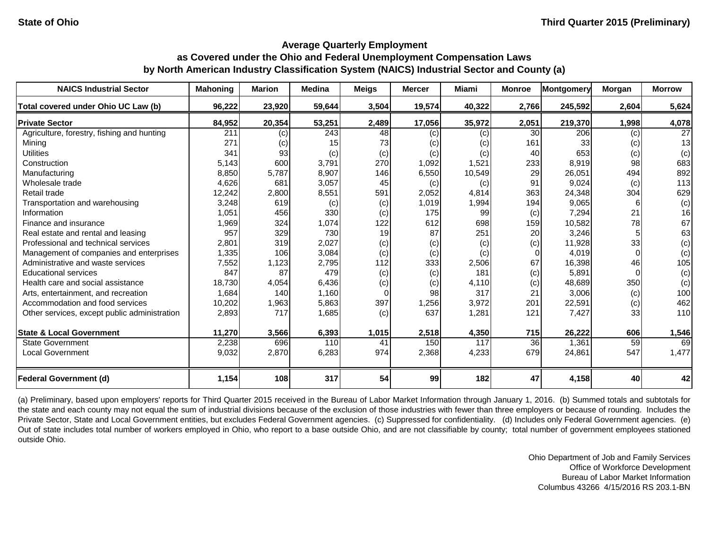| <b>NAICS Industrial Sector</b>               | <b>Mahoning</b>  | <b>Marion</b> | <b>Medina</b> | <b>Meigs</b> | <b>Mercer</b> | <b>Miami</b> | <b>Monroe</b> | Montgomery | <b>Morgan</b> | <b>Morrow</b> |
|----------------------------------------------|------------------|---------------|---------------|--------------|---------------|--------------|---------------|------------|---------------|---------------|
| Total covered under Ohio UC Law (b)          | 96,222           | 23,920        | 59,644        | 3,504        | 19,574        | 40,322       | 2,766         | 245,592    | 2,604         | 5,624         |
| <b>Private Sector</b>                        | 84,952           | 20,354        | 53,251        | 2,489        | 17,056        | 35,972       | 2,051         | 219,370    | 1,998         | 4,078         |
| Agriculture, forestry, fishing and hunting   | $\overline{211}$ | (c)           | 243           | 48           | (c)           | (c)          | 30            | 206        | (c)           | 27            |
| Mining                                       | 271              | (c)           | 15            | 73           | (c)           | (c)          | 161           | 33         | (c)           | 13            |
| <b>Utilities</b>                             | 341              | 93            | (c)           | (c)          | (c)           | (c)          | 40            | 653        | (c)           | (c)           |
| Construction                                 | 5,143            | 600           | 3,791         | 270          | 1,092         | 1,521        | 233           | 8,919      | 98            | 683           |
| Manufacturing                                | 8,850            | 5,787         | 8,907         | 146          | 6,550         | 10,549       | 29            | 26,051     | 494           | 892           |
| Wholesale trade                              | 4,626            | 681           | 3,057         | 45           | (c)           | (c)          | 91            | 9,024      | (c)           | 113           |
| Retail trade                                 | 12,242           | 2,800         | 8,551         | 591          | 2,052         | 4,814        | 363           | 24,348     | 304           | 629           |
| Transportation and warehousing               | 3,248            | 619           | (c)           | (c)          | 1,019         | 1,994        | 194           | 9,065      |               | (c)           |
| Information                                  | 1,051            | 456           | 330           | (c)          | 175           | 99           | (c)           | 7,294      | 21            | 16            |
| Finance and insurance                        | 1,969            | 324           | 1,074         | 122          | 612           | 698          | 159           | 10,582     | 78            | 67            |
| Real estate and rental and leasing           | 957              | 329           | 730           | 19           | 87            | 251          | 20            | 3,246      |               | 63            |
| Professional and technical services          | 2,801            | 319           | 2,027         | (c)          | (c)           | (c)          | (c)           | 11,928     | 33            | (c)           |
| Management of companies and enterprises      | 1,335            | 106           | 3,084         | (c)          | (c)           | (c)          | $\Omega$      | 4,019      |               | (c)           |
| Administrative and waste services            | 7,552            | 1,123         | 2,795         | 112          | 333           | 2,506        | 67            | 16,398     | 46            | 105           |
| <b>Educational services</b>                  | 847              | 87            | 479           | (c)          | (c)           | 181          | (c)           | 5,891      |               | (c)           |
| Health care and social assistance            | 18,730           | 4,054         | 6,436         | (c)          | (c)           | 4,110        | (c)           | 48,689     | 350           | (c)           |
| Arts, entertainment, and recreation          | 1,684            | 140           | 1,160         | $\Omega$     | 98            | 317          | 21            | 3,006      | (c)           | 100           |
| Accommodation and food services              | 10,202           | 1,963         | 5,863         | 397          | 1,256         | 3,972        | 201           | 22,591     | (c)           | 462           |
| Other services, except public administration | 2,893            | 717           | 1,685         | (c)          | 637           | 1,281        | 121           | 7,427      | 33            | 110           |
| <b>State &amp; Local Government</b>          | 11,270           | 3,566         | 6,393         | 1,015        | 2,518         | 4,350        | 715           | 26,222     | 606           | 1,546         |
| <b>State Government</b>                      | 2,238            | 696           | 110           | 41           | 150           | 117          | 36            | 1,361      | 59            | 69            |
| <b>Local Government</b>                      | 9,032            | 2,870         | 6,283         | 974          | 2,368         | 4,233        | 679           | 24,861     | 547           | 1,477         |
| <b>Federal Government (d)</b>                | 1,154            | 108           | 317           | 54           | 99            | 182          | 47            | 4,158      | 40            | 42            |

(a) Preliminary, based upon employers' reports for Third Quarter 2015 received in the Bureau of Labor Market Information through January 1, 2016. (b) Summed totals and subtotals for the state and each county may not equal the sum of industrial divisions because of the exclusion of those industries with fewer than three employers or because of rounding. Includes the Private Sector, State and Local Government entities, but excludes Federal Government agencies. (c) Suppressed for confidentiality. (d) Includes only Federal Government agencies. (e) Out of state includes total number of workers employed in Ohio, who report to a base outside Ohio, and are not classifiable by county; total number of government employees stationed outside Ohio.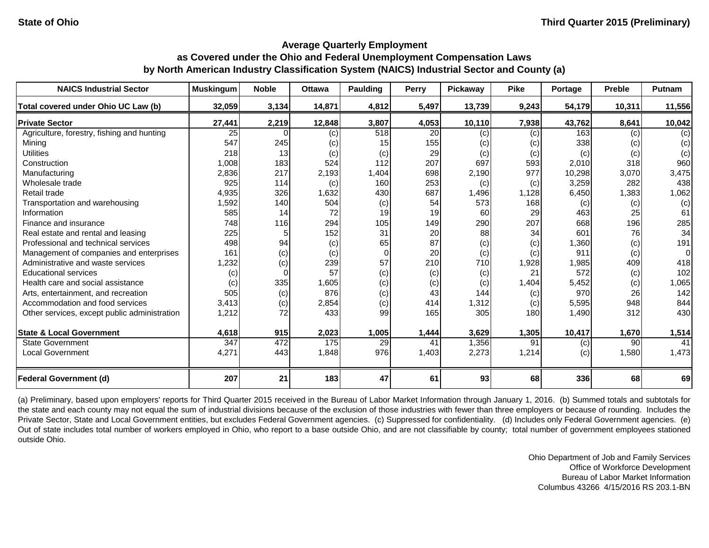| <b>NAICS Industrial Sector</b>               | <b>Muskingum</b> | <b>Noble</b> | <b>Ottawa</b> | <b>Paulding</b> | Perry | <b>Pickaway</b> | <b>Pike</b> | Portage | <b>Preble</b> | Putnam |
|----------------------------------------------|------------------|--------------|---------------|-----------------|-------|-----------------|-------------|---------|---------------|--------|
| Total covered under Ohio UC Law (b)          | 32,059           | 3,134        | 14,871        | 4,812           | 5,497 | 13,739          | 9,243       | 54,179  | 10,311        | 11,556 |
| <b>Private Sector</b>                        | 27,441           | 2,219        | 12,848        | 3,807           | 4,053 | 10,110          | 7,938       | 43,762  | 8,641         | 10,042 |
| Agriculture, forestry, fishing and hunting   | 25               |              | (c)           | 518             | 20    | (c)             | (c)         | 163     | (c)           | (c)    |
| Mining                                       | 547              | 245          | (c)           | 15              | 155   | (c)             | (c)         | 338     | (c)           | (c)    |
| <b>Utilities</b>                             | 218              | 13           | (c)           | (c)             | 29    | (c)             | (c)         | (c)     | (c)           | (c)    |
| Construction                                 | 1,008            | 183          | 524           | 112             | 207   | 697             | 593         | 2,010   | 318           | 960    |
| Manufacturing                                | 2,836            | 217          | 2,193         | 1,404           | 698   | 2,190           | 977         | 10,298  | 3,070         | 3,475  |
| Wholesale trade                              | 925              | 114          | (c)           | 160             | 253   | (c)             | (c)         | 3,259   | 282           | 438    |
| Retail trade                                 | 4,935            | 326          | 1,632         | 430             | 687   | 1,496           | 1,128       | 6,450   | 1,383         | 1,062  |
| Transportation and warehousing               | 1,592            | 140          | 504           | (c)             | 54    | 573             | 168         | (c)     | (c)           | (c)    |
| Information                                  | 585              | 14           | 72            | 19              | 19    | 60              | 29          | 463     | 25            | 61     |
| Finance and insurance                        | 748              | 116          | 294           | 105             | 149   | 290             | 207         | 668     | 196           | 285    |
| Real estate and rental and leasing           | 225              |              | 152           | 31              | 20    | 88              | 34          | 601     | 76            | 34     |
| Professional and technical services          | 498              | 94           | (c)           | 65              | 87    | (c)             | (c)         | 1,360   | (c)           | 191    |
| Management of companies and enterprises      | 161              | (c)          | (c)           | $\Omega$        | 20    | (c)             | (c)         | 911     | (c)           | 0      |
| Administrative and waste services            | 1,232            | (c)          | 239           | 57              | 210   | 710             | 1,928       | 1,985   | 409           | 418    |
| <b>Educational services</b>                  | (c)              |              | 57            | (c)             | (c)   | (c)             | 21          | 572     | (c)           | 102    |
| Health care and social assistance            | (c)              | 335          | 1,605         | (c)             | (c)   | (c)             | 1,404       | 5,452   | (c)           | 1,065  |
| Arts, entertainment, and recreation          | 505              | (c)          | 876           | (c)             | 43    | 144             | (c)         | 970     | 26            | 142    |
| Accommodation and food services              | 3,413            | (c)          | 2,854         | (c)             | 414   | 1,312           | (c)         | 5,595   | 948           | 844    |
| Other services, except public administration | 1,212            | 72           | 433           | 99              | 165   | 305             | 180         | 1,490   | 312           | 430    |
| <b>State &amp; Local Government</b>          | 4,618            | 915          | 2,023         | 1,005           | 1,444 | 3,629           | 1,305       | 10,417  | 1,670         | 1,514  |
| <b>State Government</b>                      | 347              | 472          | 175           | 29              | 41    | 1,356           | 91          | (c)     | 90            | 41     |
| <b>Local Government</b>                      | 4,271            | 443          | 1,848         | 976             | 1,403 | 2,273           | 1,214       | (c)     | 1,580         | 1,473  |
| <b>Federal Government (d)</b>                | 207              | 21           | 183           | 47              | 61    | 93              | 68          | 336     | 68            | 69     |

(a) Preliminary, based upon employers' reports for Third Quarter 2015 received in the Bureau of Labor Market Information through January 1, 2016. (b) Summed totals and subtotals for the state and each county may not equal the sum of industrial divisions because of the exclusion of those industries with fewer than three employers or because of rounding. Includes the Private Sector, State and Local Government entities, but excludes Federal Government agencies. (c) Suppressed for confidentiality. (d) Includes only Federal Government agencies. (e) Out of state includes total number of workers employed in Ohio, who report to a base outside Ohio, and are not classifiable by county; total number of government employees stationed outside Ohio.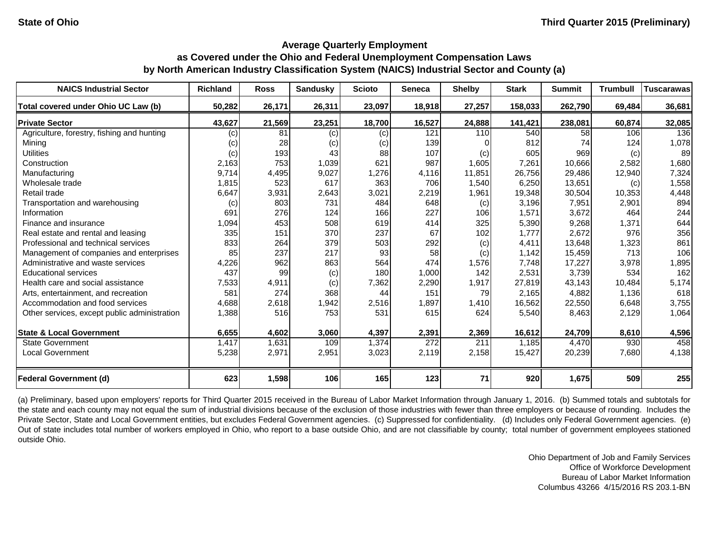| <b>NAICS Industrial Sector</b>               | <b>Richland</b> | <b>Ross</b> | <b>Sandusky</b> | <b>Scioto</b> | Seneca | <b>Shelby</b> | <b>Stark</b> | <b>Summit</b> | <b>Trumbull</b> | <b>Tuscarawas</b> |
|----------------------------------------------|-----------------|-------------|-----------------|---------------|--------|---------------|--------------|---------------|-----------------|-------------------|
| Total covered under Ohio UC Law (b)          | 50,282          | 26,171      | 26,311          | 23,097        | 18,918 | 27,257        | 158,033      | 262,790       | 69,484          | 36,681            |
| <b>Private Sector</b>                        | 43,627          | 21,569      | 23,251          | 18,700        | 16,527 | 24,888        | 141,421      | 238,081       | 60,874          | 32,085            |
| Agriculture, forestry, fishing and hunting   | (c)             | 81          | (c)             | (c)           | 121    | 110           | 540          | 58            | 106             | 136               |
| Mining                                       | (c)             | 28          | (c)             | (c)           | 139    |               | 812          | 74            | 124             | 1,078             |
| <b>Utilities</b>                             | (c)             | 193         | 43              | 88            | 107    | (c)           | 605          | 969           | (c)             | 89                |
| Construction                                 | 2,163           | 753         | 1,039           | 621           | 987    | 1,605         | 7,261        | 10,666        | 2,582           | 1,680             |
| Manufacturing                                | 9,714           | 4,495       | 9,027           | 1,276         | 4,116  | 11,851        | 26,756       | 29,486        | 12,940          | 7,324             |
| Wholesale trade                              | 1,815           | 523         | 617             | 363           | 706    | 1,540         | 6,250        | 13,651        | (c)             | 1,558             |
| Retail trade                                 | 6,647           | 3,931       | 2,643           | 3,021         | 2,219  | 1,961         | 19,348       | 30,504        | 10,353          | 4,448             |
| Transportation and warehousing               | (c)             | 803         | 731             | 484           | 648    | (c)           | 3,196        | 7,951         | 2,901           | 894               |
| Information                                  | 691             | 276         | 124             | 166           | 227    | 106           | 1,571        | 3,672         | 464             | 244               |
| Finance and insurance                        | 1,094           | 453         | 508             | 619           | 414    | 325           | 5,390        | 9,268         | 1,371           | 644               |
| Real estate and rental and leasing           | 335             | 151         | 370             | 237           | 67     | 102           | 1,777        | 2,672         | 976             | 356               |
| Professional and technical services          | 833             | 264         | 379             | 503           | 292    | (c)           | 4,411        | 13,648        | 1,323           | 861               |
| Management of companies and enterprises      | 85              | 237         | 217             | 93            | 58     | (c)           | 1,142        | 15,459        | 713             | 106               |
| Administrative and waste services            | 4,226           | 962         | 863             | 564           | 474    | 1,576         | 7,748        | 17,227        | 3,978           | 1,895             |
| <b>Educational services</b>                  | 437             | 99          | (c)             | 180           | 1,000  | 142           | 2,531        | 3,739         | 534             | 162               |
| Health care and social assistance            | 7,533           | 4,911       | (c)             | 7,362         | 2,290  | 1,917         | 27,819       | 43,143        | 10,484          | 5,174             |
| Arts, entertainment, and recreation          | 581             | 274         | 368             | 44            | 151    | 79            | 2,165        | 4,882         | 1,136           | 618               |
| Accommodation and food services              | 4,688           | 2,618       | 1,942           | 2,516         | 1,897  | 1,410         | 16,562       | 22,550        | 6,648           | 3,755             |
| Other services, except public administration | 1,388           | 516         | 753             | 531           | 615    | 624           | 5,540        | 8,463         | 2,129           | 1,064             |
| <b>State &amp; Local Government</b>          | 6,655           | 4,602       | 3,060           | 4,397         | 2,391  | 2,369         | 16,612       | 24,709        | 8,610           | 4,596             |
| <b>State Government</b>                      | 1,417           | 1,631       | 109             | 1,374         | 272    | 211           | 1,185        | 4,470         | 930             | 458               |
| <b>Local Government</b>                      | 5,238           | 2,971       | 2,951           | 3,023         | 2,119  | 2,158         | 15,427       | 20,239        | 7,680           | 4,138             |
| <b>Federal Government (d)</b>                | 623             | 1,598       | 106             | 165           | 123    | 71            | 920          | 1,675         | 509             | 255               |

(a) Preliminary, based upon employers' reports for Third Quarter 2015 received in the Bureau of Labor Market Information through January 1, 2016. (b) Summed totals and subtotals for the state and each county may not equal the sum of industrial divisions because of the exclusion of those industries with fewer than three employers or because of rounding. Includes the Private Sector, State and Local Government entities, but excludes Federal Government agencies. (c) Suppressed for confidentiality. (d) Includes only Federal Government agencies. (e) Out of state includes total number of workers employed in Ohio, who report to a base outside Ohio, and are not classifiable by county; total number of government employees stationed outside Ohio.